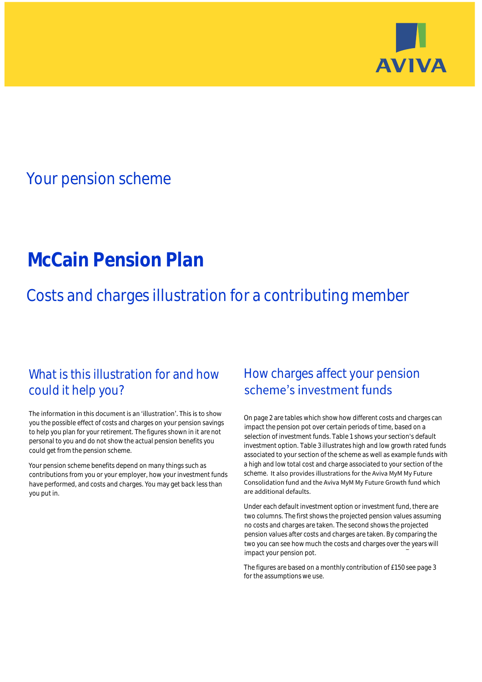

## Your pension scheme

# **McCain Pension Plan**

Costs and charges illustration for a contributing member

### What is this illustration for and how could it help you?

#### The information in this document is an 'illustration'. This is to show you the possible effect of costs and charges on your pension savings to help you plan for your retirement. The figures shown in it are not personal to you and do not show the actual pension benefits you could get from the pension scheme.

Your pension scheme benefits depend on many things such as contributions from you or your employer, how your investment funds have performed, and costs and charges. You may get back less than you put in.

### How charges affect your pension scheme's investment funds

On page 2 are tables which show how different costs and charges can impact the pension pot over certain periods of time, based on a selection of investment funds. Table 1 shows your section's default investment option. Table 3 illustrates high and low growth rated funds associated to your section of the scheme as well as example funds with a high and low total cost and charge associated to your section of the scheme. It also provides illustrations for the Aviva MyM My Future Consolidation fund and the Aviva MyM My Future Growth fund which are additional defaults.

Under each default investment option or investment fund, there are two columns. The first shows the projected pension values assuming no costs and charges are taken. The second shows the projected pension values after costs and charges are taken. By comparing the two you can see how much the costs and charges over the years will impact your pension pot.

The figures are based on a monthly contribution of £150 see page 3 for the assumptions we use.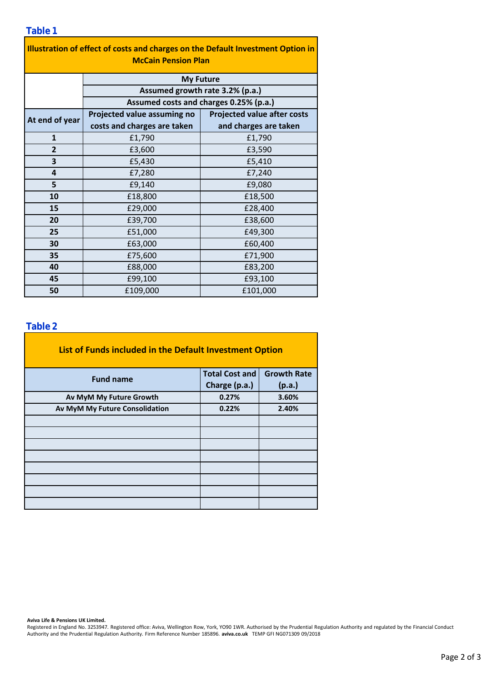|  | 0 |  |
|--|---|--|
|  |   |  |

| 1 U N I V<br>Illustration of effect of costs and charges on the Default Investment Option in<br><b>McCain Pension Plan</b> |                                        |                                    |  |  |  |  |
|----------------------------------------------------------------------------------------------------------------------------|----------------------------------------|------------------------------------|--|--|--|--|
|                                                                                                                            | <b>My Future</b>                       |                                    |  |  |  |  |
|                                                                                                                            | Assumed growth rate 3.2% (p.a.)        |                                    |  |  |  |  |
|                                                                                                                            | Assumed costs and charges 0.25% (p.a.) |                                    |  |  |  |  |
| At end of year                                                                                                             | Projected value assuming no            | <b>Projected value after costs</b> |  |  |  |  |
|                                                                                                                            | costs and charges are taken            | and charges are taken              |  |  |  |  |
| $\mathbf{1}$                                                                                                               | £1,790                                 | £1,790                             |  |  |  |  |
| $\overline{2}$                                                                                                             | £3,600                                 | £3,590                             |  |  |  |  |
| 3                                                                                                                          | £5,430                                 | £5,410                             |  |  |  |  |
| 4                                                                                                                          | £7,280                                 | £7,240                             |  |  |  |  |
| 5                                                                                                                          | £9,140                                 | £9,080                             |  |  |  |  |
| 10                                                                                                                         | £18,800                                | £18,500                            |  |  |  |  |
| 15                                                                                                                         | £29,000                                | £28,400                            |  |  |  |  |
| 20                                                                                                                         | £39,700                                | £38,600                            |  |  |  |  |
| 25                                                                                                                         | £51,000                                | £49,300                            |  |  |  |  |
| 30                                                                                                                         | £63,000                                | £60,400                            |  |  |  |  |
| 35                                                                                                                         | £75,600                                | £71,900                            |  |  |  |  |
| 40                                                                                                                         | £88,000                                | £83,200                            |  |  |  |  |
| 45                                                                                                                         | £99,100                                | £93,100                            |  |  |  |  |
| 50                                                                                                                         | £109,000                               | £101,000                           |  |  |  |  |

#### **Table 2**

| List of Funds included in the Default Investment Option |                       |                    |  |  |
|---------------------------------------------------------|-----------------------|--------------------|--|--|
| <b>Fund name</b>                                        | <b>Total Cost and</b> | <b>Growth Rate</b> |  |  |
|                                                         | Charge (p.a.)         | (p.a.)             |  |  |
| Av MyM My Future Growth                                 | 0.27%                 | 3.60%              |  |  |
| Av MyM My Future Consolidation                          | 0.22%                 | 2.40%              |  |  |
|                                                         |                       |                    |  |  |
|                                                         |                       |                    |  |  |
|                                                         |                       |                    |  |  |
|                                                         |                       |                    |  |  |
|                                                         |                       |                    |  |  |
|                                                         |                       |                    |  |  |
|                                                         |                       |                    |  |  |
|                                                         |                       |                    |  |  |

**Aviva Life & Pensions UK Limited.**

Registered in England No. 3253947. Registered office: Aviva, Wellington Row, York, YO90 1WR. Authorised by the Prudential Regulation Authority and regulated by the Financial Conduct Authority and the Prudential Regulation Authority. Firm Reference Number 185896. **aviva.co.uk** TEMP GFI NG071309 09/2018